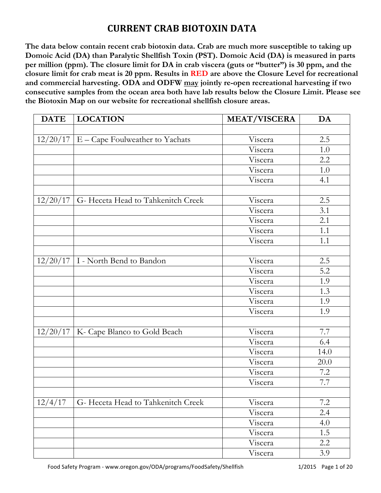**The data below contain recent crab biotoxin data. Crab are much more susceptible to taking up Domoic Acid (DA) than Paralytic Shellfish Toxin (PST). Domoic Acid (DA) is measured in parts per million (ppm). The closure limit for DA in crab viscera (guts or "butter") is 30 ppm, and the closure limit for crab meat is 20 ppm. Results in RED are above the Closure Level for recreational and commercial harvesting. ODA and ODFW may jointly re-open recreational harvesting if two consecutive samples from the ocean area both have lab results below the Closure Limit. Please see the Biotoxin Map on our website for recreational shellfish closure areas.**

| <b>DATE</b> | <b>LOCATION</b>                              | <b>MEAT/VISCERA</b> | DA      |
|-------------|----------------------------------------------|---------------------|---------|
|             |                                              |                     |         |
|             | $12/20/17$   E – Cape Foulweather to Yachats | Viscera             | 2.5     |
|             |                                              | Viscera             | $1.0\,$ |
|             |                                              | Viscera             | 2.2     |
|             |                                              | Viscera             | 1.0     |
|             |                                              | Viscera             | 4.1     |
|             |                                              |                     |         |
| 12/20/17    | G-Heceta Head to Tahkenitch Creek            | Viscera             | 2.5     |
|             |                                              | Viscera             | 3.1     |
|             |                                              | Viscera             | 2.1     |
|             |                                              | Viscera             | 1.1     |
|             |                                              | Viscera             | 1.1     |
|             |                                              |                     |         |
| 12/20/17    | I - North Bend to Bandon                     | Viscera             | 2.5     |
|             |                                              | Viscera             | 5.2     |
|             |                                              | Viscera             | 1.9     |
|             |                                              | Viscera             | 1.3     |
|             |                                              | Viscera             | 1.9     |
|             |                                              | Viscera             | 1.9     |
|             |                                              |                     |         |
|             | $12/20/17$ K- Cape Blanco to Gold Beach      | Viscera             | 7.7     |
|             |                                              | Viscera             | 6.4     |
|             |                                              | Viscera             | 14.0    |
|             |                                              | Viscera             | 20.0    |
|             |                                              | Viscera             | 7.2     |
|             |                                              | Viscera             | 7.7     |
|             |                                              |                     |         |
| 12/4/17     | G- Heceta Head to Tahkenitch Creek           | Viscera             | 7.2     |
|             |                                              | Viscera             | 2.4     |
|             |                                              | Viscera             | 4.0     |
|             |                                              | Viscera             | 1.5     |
|             |                                              | Viscera             | 2.2     |
|             |                                              | Viscera             | 3.9     |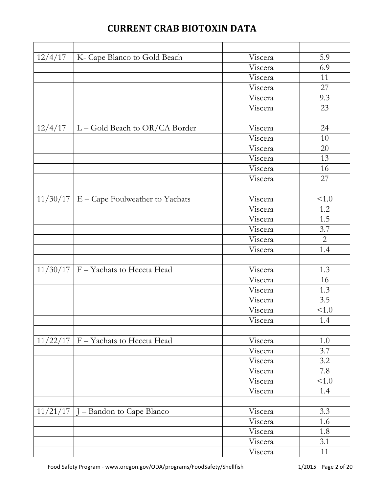| 12/4/17  | K- Cape Blanco to Gold Beach    | Viscera | 5.9          |
|----------|---------------------------------|---------|--------------|
|          |                                 | Viscera | 6.9          |
|          |                                 | Viscera | 11           |
|          |                                 | Viscera | 27           |
|          |                                 | Viscera | 9.3          |
|          |                                 | Viscera | 23           |
|          |                                 |         |              |
| 12/4/17  | L - Gold Beach to OR/CA Border  | Viscera | 24           |
|          |                                 | Viscera | $10\,$       |
|          |                                 | Viscera | 20           |
|          |                                 | Viscera | 13           |
|          |                                 | Viscera | 16           |
|          |                                 | Viscera | 27           |
|          |                                 |         |              |
| 11/30/17 | E - Cape Foulweather to Yachats | Viscera | 1.0          |
|          |                                 | Viscera | 1.2          |
|          |                                 | Viscera | 1.5          |
|          |                                 | Viscera | 3.7          |
|          |                                 | Viscera | $\mathbf{2}$ |
|          |                                 | Viscera | 1.4          |
|          |                                 |         |              |
| 11/30/17 | F - Yachats to Heceta Head      | Viscera | 1.3          |
|          |                                 | Viscera | 16           |
|          |                                 | Viscera | 1.3          |
|          |                                 | Viscera | 3.5          |
|          |                                 | Viscera | < 1.0        |
|          |                                 | Viscera | 1.4          |
|          |                                 |         |              |
| 11/22/17 | F - Yachats to Heceta Head      | Viscera | 1.0          |
|          |                                 | Viscera | 3.7          |
|          |                                 | Viscera | 3.2          |
|          |                                 | Viscera | 7.8          |
|          |                                 | Viscera | < 1.0        |
|          |                                 | Viscera | 1.4          |
|          |                                 |         |              |
| 11/21/17 | - Bandon to Cape Blanco         | Viscera | 3.3          |
|          |                                 | Viscera | 1.6          |
|          |                                 | Viscera | 1.8          |
|          |                                 | Viscera | 3.1          |
|          |                                 | Viscera | 11           |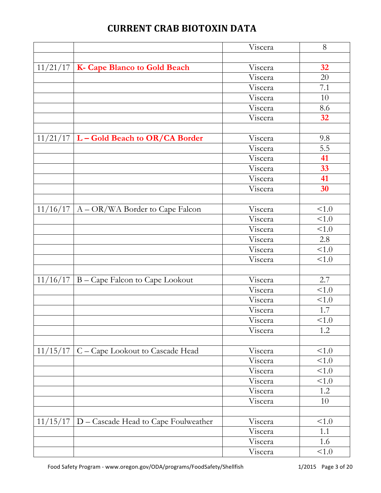|          |                                                 | Viscera | 8      |
|----------|-------------------------------------------------|---------|--------|
|          |                                                 |         |        |
|          | $11/21/17$   K- Cape Blanco to Gold Beach       | Viscera | 32     |
|          |                                                 | Viscera | 20     |
|          |                                                 | Viscera | 7.1    |
|          |                                                 | Viscera | 10     |
|          |                                                 | Viscera | 8.6    |
|          |                                                 | Viscera | 32     |
|          |                                                 |         |        |
|          | $11/21/17$ L – Gold Beach to OR/CA Border       | Viscera | 9.8    |
|          |                                                 | Viscera | 5.5    |
|          |                                                 | Viscera | 41     |
|          |                                                 | Viscera | 33     |
|          |                                                 | Viscera | 41     |
|          |                                                 | Viscera | 30     |
|          |                                                 |         |        |
| 11/16/17 | A – OR/WA Border to Cape Falcon                 | Viscera | < 1.0  |
|          |                                                 | Viscera | < 1.0  |
|          |                                                 | Viscera | < 1.0  |
|          |                                                 | Viscera | 2.8    |
|          |                                                 | Viscera | 1.0    |
|          |                                                 | Viscera | < 1.0  |
|          |                                                 |         |        |
| 11/16/17 | B – Cape Falcon to Cape Lookout                 | Viscera | 2.7    |
|          |                                                 | Viscera | < 1.0  |
|          |                                                 | Viscera | < 1.0  |
|          |                                                 | Viscera | 1.7    |
|          |                                                 | Viscera | < 1.0  |
|          |                                                 | Viscera | 1.2    |
|          |                                                 |         |        |
|          | $11/15/17$ C – Cape Lookout to Cascade Head     | Viscera | < 1.0  |
|          |                                                 | Viscera | < 1.0  |
|          |                                                 | Viscera | < 1.0  |
|          |                                                 | Viscera | < 1.0  |
|          |                                                 | Viscera | 1.2    |
|          |                                                 | Viscera | $10\,$ |
|          |                                                 |         |        |
|          | $11/15/17$ D – Cascade Head to Cape Foulweather | Viscera | < 1.0  |
|          |                                                 | Viscera | 1.1    |
|          |                                                 | Viscera | 1.6    |
|          |                                                 | Viscera | < 1.0  |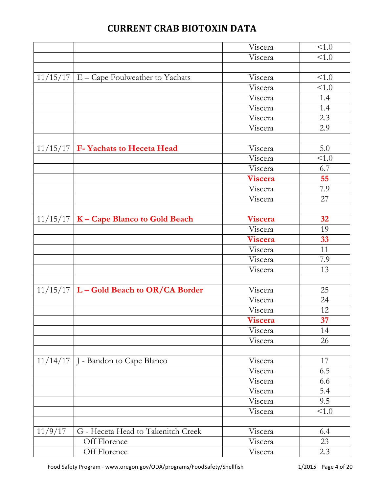|          |                                              | Viscera        | < 1.0 |
|----------|----------------------------------------------|----------------|-------|
|          |                                              | Viscera        | < 1.0 |
|          |                                              |                |       |
|          | $11/15/17$   E – Cape Foulweather to Yachats | Viscera        | < 1.0 |
|          |                                              | Viscera        | < 1.0 |
|          |                                              | Viscera        | 1.4   |
|          |                                              | Viscera        | 1.4   |
|          |                                              | Viscera        | 2.3   |
|          |                                              | Viscera        | 2.9   |
|          |                                              |                |       |
| 11/15/17 | F- Yachats to Heceta Head                    | Viscera        | 5.0   |
|          |                                              | Viscera        | < 1.0 |
|          |                                              | Viscera        | 6.7   |
|          |                                              | Viscera        | 55    |
|          |                                              | Viscera        | 7.9   |
|          |                                              | Viscera        | 27    |
|          |                                              |                |       |
|          | $11/15/17$   K – Cape Blanco to Gold Beach   | <b>Viscera</b> | 32    |
|          |                                              | Viscera        | 19    |
|          |                                              | Viscera        | 33    |
|          |                                              | Viscera        | 11    |
|          |                                              | Viscera        | 7.9   |
|          |                                              | Viscera        | 13    |
|          |                                              |                |       |
|          | $11/15/17$ L – Gold Beach to OR/CA Border    | Viscera        | 25    |
|          |                                              | Viscera        | 24    |
|          |                                              | Viscera        | 12    |
|          |                                              | <b>Viscera</b> | 37    |
|          |                                              | Viscera        | 14    |
|          |                                              | Viscera        | 26    |
|          |                                              |                |       |
| 11/14/17 | J - Bandon to Cape Blanco                    | Viscera        | 17    |
|          |                                              | Viscera        | 6.5   |
|          |                                              | Viscera        | 6.6   |
|          |                                              | Viscera        | 5.4   |
|          |                                              | Viscera        | 9.5   |
|          |                                              | Viscera        | < 1.0 |
|          |                                              |                |       |
| 11/9/17  | G - Heceta Head to Takenitch Creek           | Viscera        | 6.4   |
|          | Off Florence                                 | Viscera        | 23    |
|          | Off Florence                                 | Viscera        | 2.3   |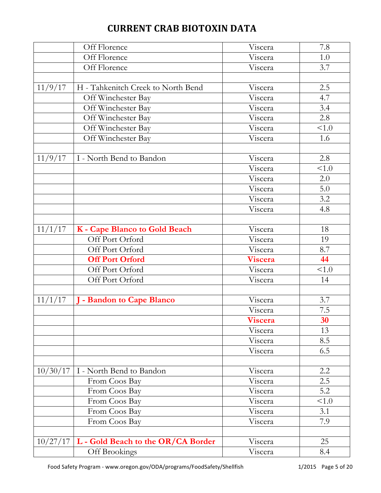|          | Off Florence                       | Viscera | 7.8   |
|----------|------------------------------------|---------|-------|
|          | Off Florence                       | Viscera | 1.0   |
|          | Off Florence                       | Viscera | 3.7   |
|          |                                    |         |       |
| 11/9/17  | H - Tahkenitch Creek to North Bend | Viscera | 2.5   |
|          | Off Winchester Bay                 | Viscera | 4.7   |
|          | Off Winchester Bay                 | Viscera | 3.4   |
|          | Off Winchester Bay                 | Viscera | 2.8   |
|          | Off Winchester Bay                 | Viscera | < 1.0 |
|          | Off Winchester Bay                 | Viscera | 1.6   |
|          |                                    |         |       |
| 11/9/17  | I - North Bend to Bandon           | Viscera | 2.8   |
|          |                                    | Viscera | <1.0  |
|          |                                    | Viscera | 2.0   |
|          |                                    | Viscera | 5.0   |
|          |                                    | Viscera | 3.2   |
|          |                                    | Viscera | 4.8   |
|          |                                    |         |       |
| 11/1/17  | K - Cape Blanco to Gold Beach      | Viscera | 18    |
|          | Off Port Orford                    | Viscera | 19    |
|          | Off Port Orford                    | Viscera | 8.7   |
|          | <b>Off Port Orford</b>             | Viscera | 44    |
|          | Off Port Orford                    | Viscera | < 1.0 |
|          | Off Port Orford                    | Viscera | 14    |
|          |                                    |         |       |
| 11/1/17  | - Bandon to Cape Blanco            | Viscera | 3.7   |
|          |                                    | Viscera | 7.5   |
|          |                                    | Viscera | 30    |
|          |                                    | Viscera | 13    |
|          |                                    | Viscera | 8.5   |
|          |                                    | Viscera | 6.5   |
|          |                                    |         |       |
| 10/30/17 | I - North Bend to Bandon           | Viscera | 2.2   |
|          | From Coos Bay                      | Viscera | 2.5   |
|          | From Coos Bay                      | Viscera | 5.2   |
|          | From Coos Bay                      | Viscera | < 1.0 |
|          | From Coos Bay                      | Viscera | 3.1   |
|          | From Coos Bay                      | Viscera | 7.9   |
|          |                                    |         |       |
| 10/27/17 | L - Gold Beach to the OR/CA Border | Viscera | 25    |
|          | Off Brookings                      | Viscera | 8.4   |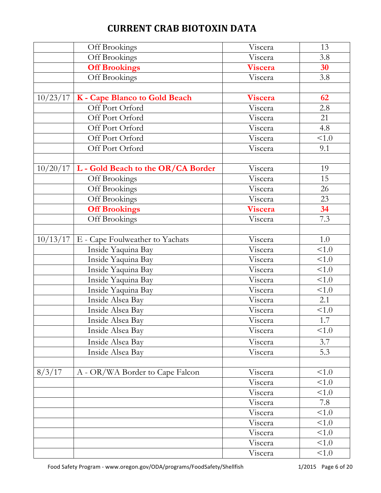|          | Off Brookings                      | Viscera | 13    |
|----------|------------------------------------|---------|-------|
|          | Off Brookings                      | Viscera | 3.8   |
|          | <b>Off Brookings</b>               | Viscera | 30    |
|          | Off Brookings                      | Viscera | 3.8   |
|          |                                    |         |       |
| 10/23/17 | K - Cape Blanco to Gold Beach      | Viscera | 62    |
|          | Off Port Orford                    | Viscera | 2.8   |
|          | Off Port Orford                    | Viscera | 21    |
|          | Off Port Orford                    | Viscera | 4.8   |
|          | Off Port Orford                    | Viscera | < 1.0 |
|          | Off Port Orford                    | Viscera | 9.1   |
|          |                                    |         |       |
| 10/20/17 | L - Gold Beach to the OR/CA Border | Viscera | 19    |
|          | Off Brookings                      | Viscera | 15    |
|          | Off Brookings                      | Viscera | 26    |
|          | Off Brookings                      | Viscera | 23    |
|          | <b>Off Brookings</b>               | Viscera | 34    |
|          | Off Brookings                      | Viscera | 7.3   |
|          |                                    |         |       |
| 10/13/17 | E - Cape Foulweather to Yachats    | Viscera | 1.0   |
|          | Inside Yaquina Bay                 | Viscera | 1.0   |
|          | Inside Yaquina Bay                 | Viscera | 1.0   |
|          | Inside Yaquina Bay                 | Viscera | < 1.0 |
|          | Inside Yaquina Bay                 | Viscera | < 1.0 |
|          | Inside Yaquina Bay                 | Viscera | < 1.0 |
|          | Inside Alsea Bay                   | Viscera | 2.1   |
|          | Inside Alsea Bay                   | Viscera | < 1.0 |
|          | Inside Alsea Bay                   | Viscera | 1.7   |
|          | Inside Alsea Bay                   | Viscera | < 1.0 |
|          | Inside Alsea Bay                   | Viscera | 3.7   |
|          | Inside Alsea Bay                   | Viscera | 5.3   |
|          |                                    |         |       |
| 8/3/17   | A - OR/WA Border to Cape Falcon    | Viscera | < 1.0 |
|          |                                    | Viscera | < 1.0 |
|          |                                    | Viscera | < 1.0 |
|          |                                    | Viscera | 7.8   |
|          |                                    | Viscera | < 1.0 |
|          |                                    | Viscera | < 1.0 |
|          |                                    | Viscera | < 1.0 |
|          |                                    | Viscera | < 1.0 |
|          |                                    | Viscera | < 1.0 |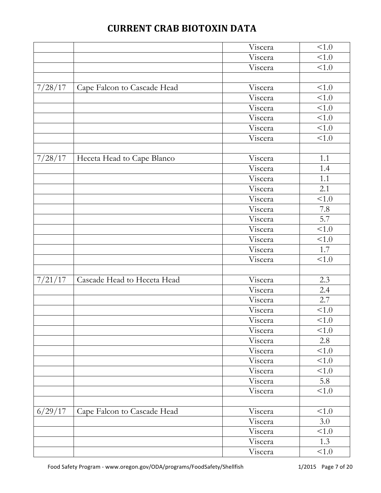|         |                             | Viscera | < 1.0      |
|---------|-----------------------------|---------|------------|
|         |                             | Viscera | < 1.0      |
|         |                             | Viscera | < 1.0      |
|         |                             |         |            |
| 7/28/17 | Cape Falcon to Cascade Head | Viscera | < 1.0      |
|         |                             | Viscera | < 1.0      |
|         |                             | Viscera | 1.0        |
|         |                             | Viscera | < 1.0      |
|         |                             | Viscera | < 1.0      |
|         |                             | Viscera | < 1.0      |
|         |                             |         |            |
| 7/28/17 | Heceta Head to Cape Blanco  | Viscera | 1.1        |
|         |                             | Viscera | 1.4        |
|         |                             | Viscera | 1.1        |
|         |                             | Viscera | 2.1        |
|         |                             | Viscera | < 1.0      |
|         |                             | Viscera | 7.8        |
|         |                             | Viscera | 5.7        |
|         |                             | Viscera | < 1.0      |
|         |                             | Viscera | < 1.0      |
|         |                             | Viscera | 1.7        |
|         |                             | Viscera | < 1.0      |
|         |                             |         |            |
| 7/21/17 | Cascade Head to Heceta Head | Viscera | 2.3        |
|         |                             | Viscera | 2.4        |
|         |                             | Viscera | 2.7        |
|         |                             | Viscera | < 1.0      |
|         |                             | Viscera | $<\!\!1.0$ |
|         |                             | Viscera | < 1.0      |
|         |                             | Viscera | 2.8        |
|         |                             | Viscera | < 1.0      |
|         |                             | Viscera | < 1.0      |
|         |                             | Viscera | < 1.0      |
|         |                             | Viscera | 5.8        |
|         |                             | Viscera | < 1.0      |
|         |                             |         |            |
| 6/29/17 | Cape Falcon to Cascade Head | Viscera | < 1.0      |
|         |                             | Viscera | 3.0        |
|         |                             | Viscera | < 1.0      |
|         |                             | Viscera | 1.3        |
|         |                             | Viscera | < 1.0      |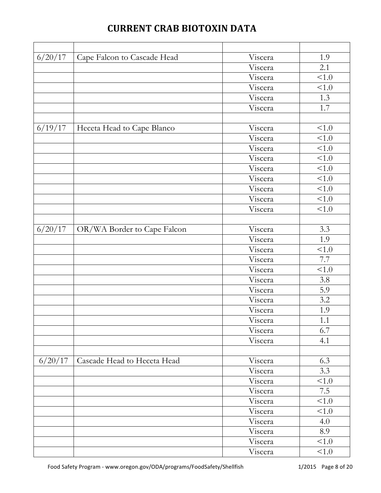| 6/20/17 | Cape Falcon to Cascade Head | Viscera | 1.9   |
|---------|-----------------------------|---------|-------|
|         |                             | Viscera | 2.1   |
|         |                             | Viscera | <1.0  |
|         |                             | Viscera | < 1.0 |
|         |                             | Viscera | 1.3   |
|         |                             | Viscera | 1.7   |
|         |                             |         |       |
| 6/19/17 | Heceta Head to Cape Blanco  | Viscera | < 1.0 |
|         |                             | Viscera | 1.0   |
|         |                             | Viscera | < 1.0 |
|         |                             | Viscera | < 1.0 |
|         |                             | Viscera | 1.0   |
|         |                             | Viscera | < 1.0 |
|         |                             | Viscera | < 1.0 |
|         |                             | Viscera | 1.0   |
|         |                             | Viscera | 1.0   |
|         |                             |         |       |
| 6/20/17 | OR/WA Border to Cape Falcon | Viscera | 3.3   |
|         |                             | Viscera | 1.9   |
|         |                             | Viscera | < 1.0 |
|         |                             | Viscera | 7.7   |
|         |                             | Viscera | < 1.0 |
|         |                             | Viscera | 3.8   |
|         |                             | Viscera | 5.9   |
|         |                             | Viscera | 3.2   |
|         |                             | Viscera | 1.9   |
|         |                             | Viscera | 1.1   |
|         |                             | Viscera | 6.7   |
|         |                             | Viscera | 4.1   |
|         |                             |         |       |
| 6/20/17 | Cascade Head to Heceta Head | Viscera | 6.3   |
|         |                             | Viscera | 3.3   |
|         |                             | Viscera | < 1.0 |
|         |                             | Viscera | 7.5   |
|         |                             | Viscera | < 1.0 |
|         |                             | Viscera | < 1.0 |
|         |                             | Viscera | 4.0   |
|         |                             | Viscera | 8.9   |
|         |                             | Viscera | < 1.0 |
|         |                             | Viscera | < 1.0 |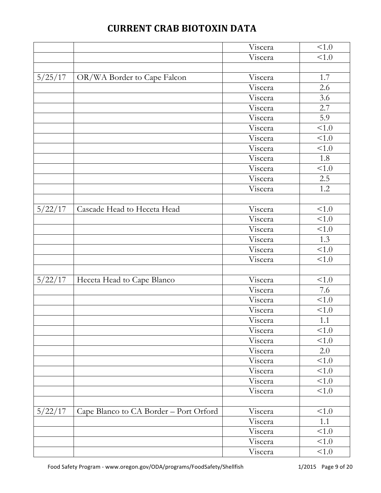|         |                                        | Viscera | < 1.0      |
|---------|----------------------------------------|---------|------------|
|         |                                        | Viscera | < 1.0      |
|         |                                        |         |            |
| 5/25/17 | OR/WA Border to Cape Falcon            | Viscera | 1.7        |
|         |                                        | Viscera | 2.6        |
|         |                                        | Viscera | 3.6        |
|         |                                        | Viscera | 2.7        |
|         |                                        | Viscera | 5.9        |
|         |                                        | Viscera | < 1.0      |
|         |                                        | Viscera | < 1.0      |
|         |                                        | Viscera | < 1.0      |
|         |                                        | Viscera | 1.8        |
|         |                                        | Viscera | < 1.0      |
|         |                                        | Viscera | 2.5        |
|         |                                        | Viscera | 1.2        |
|         |                                        |         |            |
| 5/22/17 | Cascade Head to Heceta Head            | Viscera | < 1.0      |
|         |                                        | Viscera | < 1.0      |
|         |                                        | Viscera | < 1.0      |
|         |                                        | Viscera | 1.3        |
|         |                                        | Viscera | 1.0        |
|         |                                        | Viscera | < 1.0      |
|         |                                        |         |            |
| 5/22/17 | Heceta Head to Cape Blanco             | Viscera | < 1.0      |
|         |                                        | Viscera | 7.6        |
|         |                                        | Viscera | < 1.0      |
|         |                                        | Viscera | < 1.0      |
|         |                                        | Viscera | $1.1\,$    |
|         |                                        | Viscera | < 1.0      |
|         |                                        | Viscera | < 1.0      |
|         |                                        | Viscera | 2.0        |
|         |                                        | Viscera | < 1.0      |
|         |                                        | Viscera | < 1.0      |
|         |                                        | Viscera | < 1.0      |
|         |                                        | Viscera | < 1.0      |
|         |                                        |         |            |
| 5/22/17 | Cape Blanco to CA Border - Port Orford | Viscera | < 1.0      |
|         |                                        | Viscera | 1.1        |
|         |                                        | Viscera | < 1.0      |
|         |                                        | Viscera | $<\!\!1.0$ |
|         |                                        | Viscera | < 1.0      |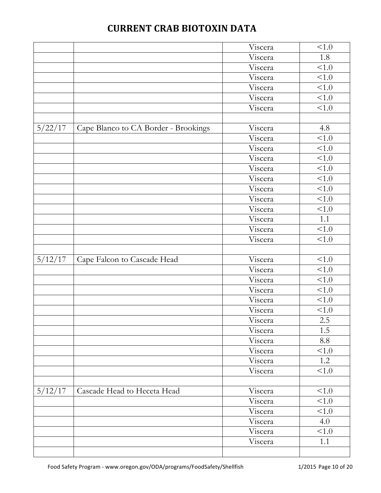|         |                                      | Viscera | < 1.0      |
|---------|--------------------------------------|---------|------------|
|         |                                      | Viscera | 1.8        |
|         |                                      | Viscera | <1.0       |
|         |                                      | Viscera | $\leq 1.0$ |
|         |                                      | Viscera | < 1.0      |
|         |                                      | Viscera | < 1.0      |
|         |                                      | Viscera | 1.0        |
|         |                                      |         |            |
| 5/22/17 | Cape Blanco to CA Border - Brookings | Viscera | 4.8        |
|         |                                      | Viscera | <1.0       |
|         |                                      | Viscera | 1.0        |
|         |                                      | Viscera | < 1.0      |
|         |                                      | Viscera | 1.0        |
|         |                                      | Viscera | 1.0        |
|         |                                      | Viscera | 1.0        |
|         |                                      | Viscera | 1.0        |
|         |                                      | Viscera | <1.0       |
|         |                                      | Viscera | 1.1        |
|         |                                      | Viscera | $\leq 1.0$ |
|         |                                      | Viscera | < 1.0      |
|         |                                      |         |            |
| 5/12/17 | Cape Falcon to Cascade Head          | Viscera | < 1.0      |
|         |                                      | Viscera | < 1.0      |
|         |                                      | Viscera | 1.0        |
|         |                                      | Viscera | < 1.0      |
|         |                                      | Viscera | < 1.0      |
|         |                                      | Viscera | < 1.0      |
|         |                                      | Viscera | $2.5\,$    |
|         |                                      | Viscera | 1.5        |
|         |                                      | Viscera | 8.8        |
|         |                                      | Viscera | < 1.0      |
|         |                                      | Viscera | 1.2        |
|         |                                      |         |            |
|         |                                      | Viscera | < 1.0      |
|         |                                      |         |            |
| 5/12/17 | Cascade Head to Heceta Head          | Viscera | < 1.0      |
|         |                                      | Viscera | < 1.0      |
|         |                                      | Viscera | < 1.0      |
|         |                                      | Viscera | 4.0        |
|         |                                      | Viscera | < 1.0      |
|         |                                      | Viscera | 1.1        |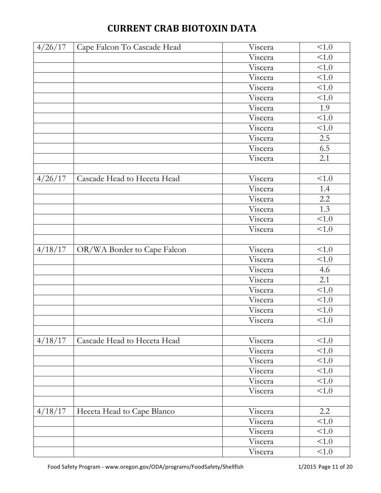| 4/26/17 | Cape Falcon To Cascade Head | Viscera | < 1.0   |
|---------|-----------------------------|---------|---------|
|         |                             | Viscera | < 1.0   |
|         |                             | Viscera | < 1.0   |
|         |                             | Viscera | < 1.0   |
|         |                             | Viscera | < 1.0   |
|         |                             | Viscera | < 1.0   |
|         |                             | Viscera | 1.9     |
|         |                             | Viscera | < 1.0   |
|         |                             | Viscera | < 1.0   |
|         |                             | Viscera | 2.5     |
|         |                             | Viscera | 6.5     |
|         |                             | Viscera | 2.1     |
|         |                             |         |         |
| 4/26/17 | Cascade Head to Heceta Head | Viscera | < 1.0   |
|         |                             | Viscera | 1.4     |
|         |                             | Viscera | $2.2\,$ |
|         |                             | Viscera | 1.3     |
|         |                             | Viscera | < 1.0   |
|         |                             | Viscera | < 1.0   |
|         |                             |         |         |
| 4/18/17 | OR/WA Border to Cape Falcon | Viscera | < 1.0   |
|         |                             | Viscera | < 1.0   |
|         |                             | Viscera | 4.6     |
|         |                             | Viscera | 2.1     |
|         |                             | Viscera | < 1.0   |
|         |                             | Viscera | < 1.0   |
|         |                             | Viscera | < 1.0   |
|         |                             | Viscera | < 1.0   |
|         |                             |         |         |
| 4/18/17 | Cascade Head to Heceta Head | Viscera | < 1.0   |
|         |                             | Viscera | < 1.0   |
|         |                             | Viscera | < 1.0   |
|         |                             | Viscera | < 1.0   |
|         |                             | Viscera | < 1.0   |
|         |                             | Viscera | < 1.0   |
|         |                             |         |         |
| 4/18/17 | Heceta Head to Cape Blanco  | Viscera | 2.2     |
|         |                             | Viscera | < 1.0   |
|         |                             | Viscera | < 1.0   |
|         |                             | Viscera | < 1.0   |
|         |                             | Viscera | < 1.0   |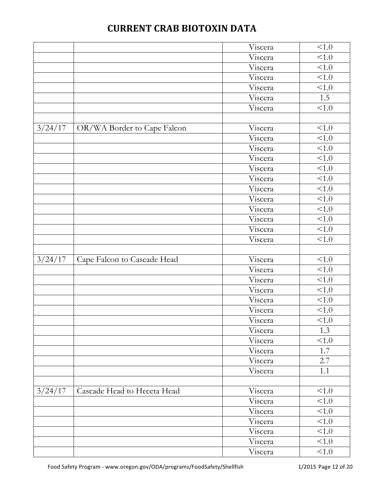|         |                             | Viscera            | < 1.0          |
|---------|-----------------------------|--------------------|----------------|
|         |                             | Viscera            | < 1.0          |
|         |                             | Viscera            | < 1.0          |
|         |                             | Viscera            | 1.0            |
|         |                             | Viscera            | < 1.0          |
|         |                             | Viscera            | 1.5            |
|         |                             | Viscera            | 1.0            |
|         |                             |                    |                |
| 3/24/17 | OR/WA Border to Cape Falcon | Viscera            | < 1.0          |
|         |                             | Viscera            | < 1.0          |
|         |                             | Viscera            | < 1.0          |
|         |                             | Viscera            | < 1.0          |
|         |                             | Viscera            | < 1.0          |
|         |                             | Viscera            | 1.0            |
|         |                             | Viscera            | < 1.0          |
|         |                             | Viscera            | < 1.0          |
|         |                             | Viscera            | <1.0           |
|         |                             | Viscera            | < 1.0          |
|         |                             | Viscera            | < 1.0          |
|         |                             | Viscera            | < 1.0          |
|         |                             |                    |                |
| 3/24/17 | Cape Falcon to Cascade Head | Viscera            | $\leq 1.0$     |
|         |                             | Viscera            | < 1.0          |
|         |                             | Viscera            | <1.0           |
|         |                             |                    |                |
|         |                             | Viscera            | < 1.0          |
|         |                             | Viscera            | < 1.0          |
|         |                             | Viscera            | < 1.0          |
|         |                             |                    |                |
|         |                             | Viscera            | < 1.0<br>1.3   |
|         |                             | Viscera<br>Viscera | < 1.0          |
|         |                             | Viscera            | 1.7            |
|         |                             | Viscera            | 2.7            |
|         |                             | Viscera            | 1.1            |
|         |                             |                    |                |
| 3/24/17 | Cascade Head to Heceta Head |                    | < 1.0          |
|         |                             | Viscera<br>Viscera |                |
|         |                             |                    | < 1.0<br>< 1.0 |
|         |                             | Viscera<br>Viscera | < 1.0          |
|         |                             |                    | < 1.0          |
|         |                             | Viscera<br>Viscera | < 1.0          |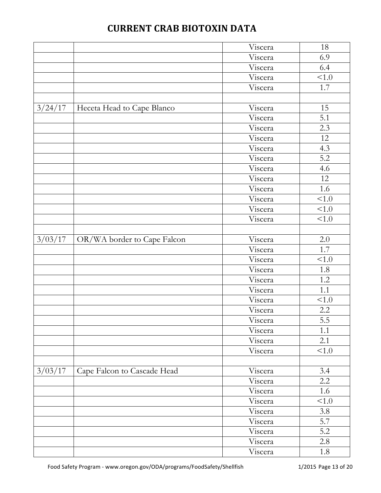|         |                             | Viscera | $18\,$  |
|---------|-----------------------------|---------|---------|
|         |                             | Viscera | 6.9     |
|         |                             | Viscera | 6.4     |
|         |                             | Viscera | 1.0     |
|         |                             | Viscera | 1.7     |
|         |                             |         |         |
| 3/24/17 | Heceta Head to Cape Blanco  | Viscera | 15      |
|         |                             | Viscera | 5.1     |
|         |                             | Viscera | 2.3     |
|         |                             | Viscera | 12      |
|         |                             | Viscera | 4.3     |
|         |                             | Viscera | 5.2     |
|         |                             | Viscera | 4.6     |
|         |                             | Viscera | 12      |
|         |                             | Viscera | 1.6     |
|         |                             | Viscera | < 1.0   |
|         |                             | Viscera | < 1.0   |
|         |                             | Viscera | < 1.0   |
|         |                             |         |         |
| 3/03/17 | OR/WA border to Cape Falcon | Viscera | 2.0     |
|         |                             | Viscera | 1.7     |
|         |                             | Viscera | < 1.0   |
|         |                             | Viscera | 1.8     |
|         |                             | Viscera | 1.2     |
|         |                             | Viscera | 1.1     |
|         |                             | Viscera | < 1.0   |
|         |                             | Viscera | $2.2\,$ |
|         |                             | Viscera | 5.5     |
|         |                             | Viscera | 1.1     |
|         |                             | Viscera | 2.1     |
|         |                             | Viscera | < 1.0   |
|         |                             |         |         |
| 3/03/17 | Cape Falcon to Cascade Head | Viscera | 3.4     |
|         |                             | Viscera | 2.2     |
|         |                             | Viscera | 1.6     |
|         |                             | Viscera | < 1.0   |
|         |                             | Viscera | 3.8     |
|         |                             | Viscera | 5.7     |
|         |                             | Viscera | 5.2     |
|         |                             | Viscera | 2.8     |
|         |                             | Viscera | 1.8     |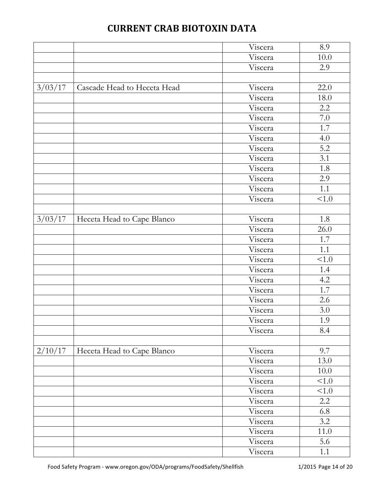|         |                             | Viscera | 8.9   |
|---------|-----------------------------|---------|-------|
|         |                             | Viscera | 10.0  |
|         |                             | Viscera | 2.9   |
|         |                             |         |       |
| 3/03/17 | Cascade Head to Heceta Head | Viscera | 22.0  |
|         |                             | Viscera | 18.0  |
|         |                             | Viscera | 2.2   |
|         |                             | Viscera | 7.0   |
|         |                             | Viscera | 1.7   |
|         |                             | Viscera | 4.0   |
|         |                             | Viscera | 5.2   |
|         |                             | Viscera | 3.1   |
|         |                             | Viscera | 1.8   |
|         |                             | Viscera | 2.9   |
|         |                             | Viscera | 1.1   |
|         |                             | Viscera | < 1.0 |
|         |                             |         |       |
| 3/03/17 | Heceta Head to Cape Blanco  | Viscera | 1.8   |
|         |                             | Viscera | 26.0  |
|         |                             | Viscera | 1.7   |
|         |                             | Viscera | 1.1   |
|         |                             | Viscera | < 1.0 |
|         |                             | Viscera | 1.4   |
|         |                             | Viscera | 4.2   |
|         |                             | Viscera | 1.7   |
|         |                             | Viscera | 2.6   |
|         |                             | Viscera | 3.0   |
|         |                             | Viscera | 1.9   |
|         |                             | Viscera | 8.4   |
|         |                             |         |       |
| 2/10/17 | Heceta Head to Cape Blanco  | Viscera | 9.7   |
|         |                             | Viscera | 13.0  |
|         |                             | Viscera | 10.0  |
|         |                             | Viscera | < 1.0 |
|         |                             | Viscera | < 1.0 |
|         |                             | Viscera | 2.2   |
|         |                             | Viscera | 6.8   |
|         |                             | Viscera | 3.2   |
|         |                             | Viscera | 11.0  |
|         |                             | Viscera | 5.6   |
|         |                             | Viscera | 1.1   |
|         |                             |         |       |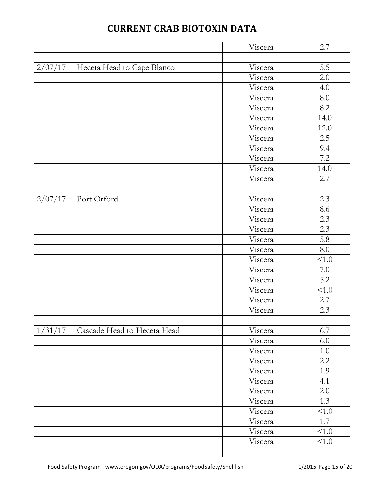|                             | Viscera | 2.7                                      |
|-----------------------------|---------|------------------------------------------|
|                             |         |                                          |
| Heceta Head to Cape Blanco  | Viscera | 5.5                                      |
|                             | Viscera | 2.0                                      |
|                             | Viscera | 4.0                                      |
|                             | Viscera | $8.0\,$                                  |
|                             | Viscera | 8.2                                      |
|                             | Viscera | 14.0                                     |
|                             | Viscera | 12.0                                     |
|                             | Viscera | 2.5                                      |
|                             | Viscera | 9.4                                      |
|                             | Viscera | 7.2                                      |
|                             | Viscera | 14.0                                     |
|                             | Viscera | 2.7                                      |
|                             |         |                                          |
| Port Orford                 | Viscera | 2.3                                      |
|                             |         | 8.6                                      |
|                             | Viscera | 2.3                                      |
|                             |         | 2.3                                      |
|                             | Viscera | 5.8                                      |
|                             | Viscera | 8.0                                      |
|                             |         | < 1.0                                    |
|                             | Viscera | 7.0                                      |
|                             | Viscera | 5.2                                      |
|                             | Viscera | < 1.0                                    |
|                             | Viscera | 2.7                                      |
|                             | Viscera | 2.3                                      |
|                             |         |                                          |
| Cascade Head to Heceta Head |         | 6.7                                      |
|                             | Viscera | 6.0                                      |
|                             | Viscera | $1.0\,$                                  |
|                             | Viscera | 2.2                                      |
|                             | Viscera | 1.9                                      |
|                             | Viscera | 4.1                                      |
|                             | Viscera | 2.0                                      |
|                             | Viscera | 1.3                                      |
|                             | Viscera | < 1.0                                    |
|                             | Viscera | 1.7                                      |
|                             | Viscera | < 1.0                                    |
|                             |         | Viscera<br>Viscera<br>Viscera<br>Viscera |

Viscera <1.0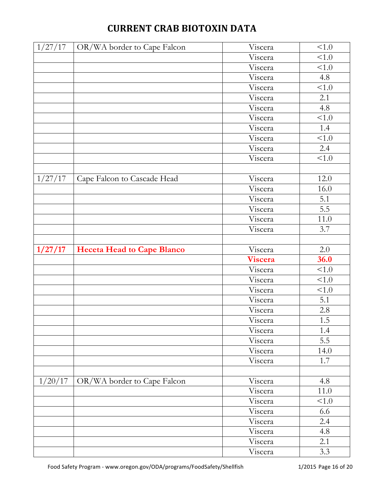| <b>CURRENT CRAB BIOTOXIN DATA</b> |  |  |  |  |
|-----------------------------------|--|--|--|--|
|-----------------------------------|--|--|--|--|

| 1/27/17 | OR/WA border to Cape Falcon       | Viscera | < 1.0 |
|---------|-----------------------------------|---------|-------|
|         |                                   |         |       |
|         |                                   | Viscera | < 1.0 |
|         |                                   | Viscera | < 1.0 |
|         |                                   | Viscera | 4.8   |
|         |                                   | Viscera | 1.0   |
|         |                                   | Viscera | 2.1   |
|         |                                   | Viscera | 4.8   |
|         |                                   | Viscera | < 1.0 |
|         |                                   | Viscera | 1.4   |
|         |                                   | Viscera | < 1.0 |
|         |                                   | Viscera | 2.4   |
|         |                                   | Viscera | < 1.0 |
|         |                                   |         |       |
| 1/27/17 | Cape Falcon to Cascade Head       | Viscera | 12.0  |
|         |                                   | Viscera | 16.0  |
|         |                                   | Viscera | 5.1   |
|         |                                   | Viscera | 5.5   |
|         |                                   | Viscera | 11.0  |
|         |                                   | Viscera | 3.7   |
|         |                                   |         |       |
| 1/27/17 | <b>Heceta Head to Cape Blanco</b> | Viscera | 2.0   |
|         |                                   | Viscera | 36.0  |
|         |                                   | Viscera | < 1.0 |
|         |                                   | Viscera | 1.0   |
|         |                                   | Viscera | < 1.0 |
|         |                                   | Viscera | 5.1   |
|         |                                   | Viscera | 2.8   |
|         |                                   | Viscera | 1.5   |
|         |                                   | Viscera | 1.4   |
|         |                                   | Viscera | 5.5   |
|         |                                   | Viscera | 14.0  |
|         |                                   | Viscera | 1.7   |
|         |                                   |         |       |
| 1/20/17 | OR/WA border to Cape Falcon       | Viscera | 4.8   |
|         |                                   | Viscera | 11.0  |
|         |                                   | Viscera | < 1.0 |
|         |                                   | Viscera | 6.6   |
|         |                                   | Viscera | 2.4   |
|         |                                   | Viscera | 4.8   |
|         |                                   | Viscera | 2.1   |
|         |                                   | Viscera | 3.3   |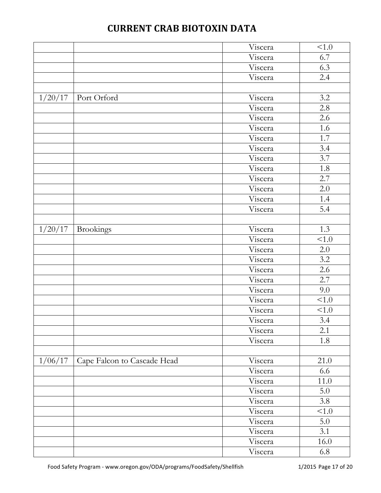|         |                             | Viscera | < 1.0 |
|---------|-----------------------------|---------|-------|
|         |                             | Viscera | 6.7   |
|         |                             | Viscera | 6.3   |
|         |                             | Viscera | 2.4   |
|         |                             |         |       |
| 1/20/17 | Port Orford                 | Viscera | 3.2   |
|         |                             | Viscera | 2.8   |
|         |                             | Viscera | 2.6   |
|         |                             | Viscera | 1.6   |
|         |                             | Viscera | 1.7   |
|         |                             | Viscera | 3.4   |
|         |                             | Viscera | 3.7   |
|         |                             | Viscera | 1.8   |
|         |                             | Viscera | 2.7   |
|         |                             | Viscera | 2.0   |
|         |                             | Viscera | 1.4   |
|         |                             | Viscera | 5.4   |
|         |                             |         |       |
| 1/20/17 | <b>Brookings</b>            | Viscera | 1.3   |
|         |                             | Viscera | < 1.0 |
|         |                             | Viscera | 2.0   |
|         |                             | Viscera | 3.2   |
|         |                             | Viscera | 2.6   |
|         |                             | Viscera | 2.7   |
|         |                             | Viscera | 9.0   |
|         |                             | Viscera | < 1.0 |
|         |                             | Viscera | 1.0   |
|         |                             | Viscera | 3.4   |
|         |                             | Viscera | 2.1   |
|         |                             | Viscera | 1.8   |
|         |                             |         |       |
| 1/06/17 | Cape Falcon to Cascade Head | Viscera | 21.0  |
|         |                             | Viscera | 6.6   |
|         |                             | Viscera | 11.0  |
|         |                             | Viscera | 5.0   |
|         |                             | Viscera | 3.8   |
|         |                             | Viscera | < 1.0 |
|         |                             | Viscera | 5.0   |
|         |                             | Viscera | 3.1   |
|         |                             | Viscera | 16.0  |
|         |                             | Viscera | 6.8   |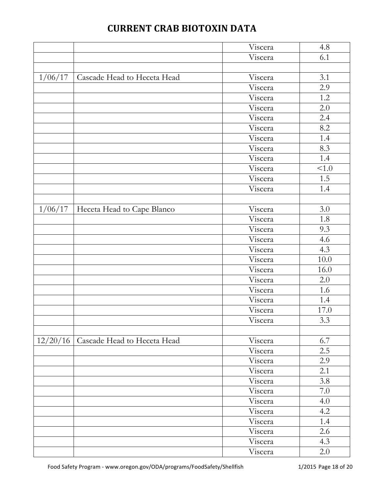|          |                             | Viscera | 4.8   |
|----------|-----------------------------|---------|-------|
|          |                             | Viscera | 6.1   |
|          |                             |         |       |
| 1/06/17  | Cascade Head to Heceta Head | Viscera | 3.1   |
|          |                             | Viscera | 2.9   |
|          |                             | Viscera | 1.2   |
|          |                             | Viscera | 2.0   |
|          |                             | Viscera | 2.4   |
|          |                             | Viscera | 8.2   |
|          |                             | Viscera | 1.4   |
|          |                             | Viscera | 8.3   |
|          |                             | Viscera | 1.4   |
|          |                             | Viscera | < 1.0 |
|          |                             | Viscera | 1.5   |
|          |                             | Viscera | 1.4   |
|          |                             |         |       |
| 1/06/17  | Heceta Head to Cape Blanco  | Viscera | 3.0   |
|          |                             | Viscera | 1.8   |
|          |                             | Viscera | 9.3   |
|          |                             | Viscera | 4.6   |
|          |                             | Viscera | 4.3   |
|          |                             | Viscera | 10.0  |
|          |                             | Viscera | 16.0  |
|          |                             | Viscera | 2.0   |
|          |                             | Viscera | 1.6   |
|          |                             | Viscera | 1.4   |
|          |                             | Viscera | 17.0  |
|          |                             | Viscera | 3.3   |
|          |                             |         |       |
| 12/20/16 | Cascade Head to Heceta Head | Viscera | 6.7   |
|          |                             | Viscera | 2.5   |
|          |                             | Viscera | 2.9   |
|          |                             | Viscera | 2.1   |
|          |                             | Viscera | 3.8   |
|          |                             | Viscera | 7.0   |
|          |                             | Viscera | 4.0   |
|          |                             | Viscera | 4.2   |
|          |                             | Viscera | 1.4   |
|          |                             | Viscera | 2.6   |
|          |                             | Viscera | 4.3   |
|          |                             | Viscera | 2.0   |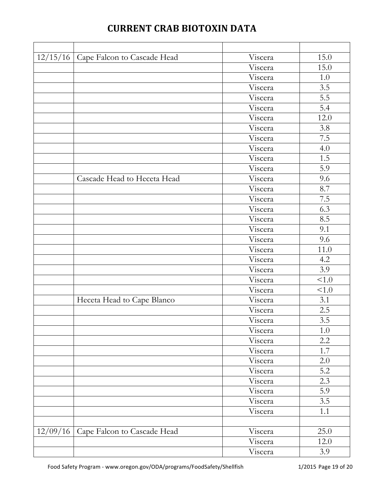| 12/15/16 | Cape Falcon to Cascade Head | Viscera | 15.0    |
|----------|-----------------------------|---------|---------|
|          |                             | Viscera | 15.0    |
|          |                             | Viscera | $1.0\,$ |
|          |                             | Viscera | 3.5     |
|          |                             | Viscera | 5.5     |
|          |                             | Viscera | 5.4     |
|          |                             | Viscera | 12.0    |
|          |                             | Viscera | 3.8     |
|          |                             | Viscera | 7.5     |
|          |                             | Viscera | 4.0     |
|          |                             | Viscera | 1.5     |
|          |                             | Viscera | 5.9     |
|          | Cascade Head to Heceta Head | Viscera | 9.6     |
|          |                             | Viscera | 8.7     |
|          |                             | Viscera | 7.5     |
|          |                             | Viscera | 6.3     |
|          |                             | Viscera | 8.5     |
|          |                             | Viscera | 9.1     |
|          |                             | Viscera | 9.6     |
|          |                             | Viscera | 11.0    |
|          |                             | Viscera | 4.2     |
|          |                             | Viscera | 3.9     |
|          |                             | Viscera | 1.0     |
|          |                             | Viscera | < 1.0   |
|          | Heceta Head to Cape Blanco  | Viscera | 3.1     |
|          |                             | Viscera | 2.5     |
|          |                             | Viscera | 3.5     |
|          |                             | Viscera | 1.0     |
|          |                             | Viscera | 2.2     |
|          |                             | Viscera | 1.7     |
|          |                             | Viscera | 2.0     |
|          |                             | Viscera | 5.2     |
|          |                             | Viscera | 2.3     |
|          |                             | Viscera | 5.9     |
|          |                             | Viscera | 3.5     |
|          |                             | Viscera | 1.1     |
|          |                             |         |         |
| 12/09/16 | Cape Falcon to Cascade Head | Viscera | 25.0    |
|          |                             | Viscera | 12.0    |
|          |                             | Viscera | 3.9     |